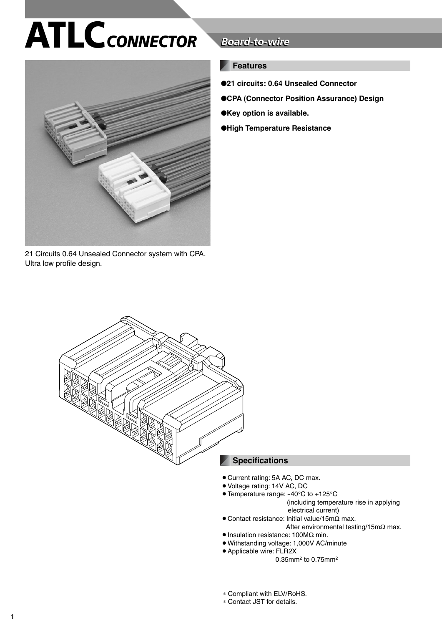# **ATLC***CONNECTOR*



21 Circuits 0.64 Unsealed Connector system with CPA. Ultra low profile design.

## **Board-to-wire**

## **Features**

- ●**21 circuits: 0.64 Unsealed Connector**
- ●**CPA (Connector Position Assurance) Design**
- ●**Key option is available.**
- ●**High Temperature Resistance**



#### **Specifications**

- Current rating: 5A AC, DC max.
- Voltage rating: 14V AC, DC
- Temperature range: -40°C to +125°C (including temperature rise in applying electrical current)
- ¡Contact resistance: Initial value/15mΩ max.
	- After environmental testing/15mΩ max.
- Insulation resistance: 100MΩ min.
- ¡Withstanding voltage: 1,000V AC/minute
- Applicable wire: FLR2X
	- 0.35mm2 to 0.75mm2
- ∗ Compliant with ELV/RoHS.
- ∗ Contact JST for details.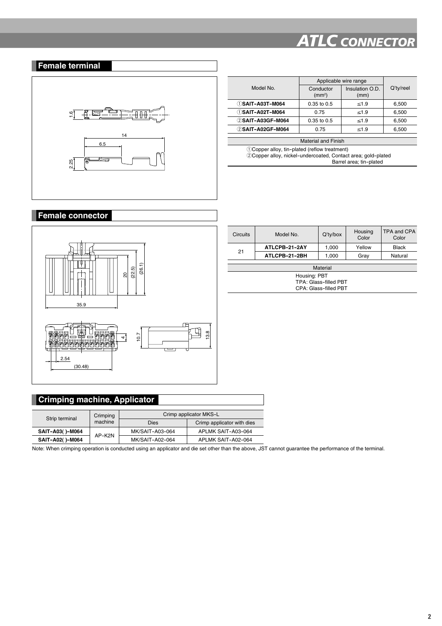## *ATLC CONNECTOR*

## **Female terminal**



|                   | Applicable wire range           |                         |           |
|-------------------|---------------------------------|-------------------------|-----------|
| Model No.         | Conductor<br>(mm <sup>2</sup> ) | Insulation O.D.<br>(mm) | Q'ty/reel |
| 1) SAIT-A03T-M064 | $0.35$ to $0.5$                 | $\leq 1.9$              | 6.500     |
| 1) SAIT-A02T-M064 | 0.75                            | $\leq 1.9$              | 6,500     |
| 2 SAIT-A03GF-M064 | $0.35$ to $0.5$                 | $\leq 1.9$              | 6,500     |
| 2 SAIT-A02GF-M064 | 0.75                            | $\leq 1.9$              | 6,500     |

Material and Finish

<sup>q</sup>Copper alloy, tin-plated (reflow treatment)  $@$ Copper alloy, nickel-undercoated, Contact area; gold-plated Barrel area; tin-plated

#### **Female connector**



| Circuits | Model No.     | $Q'$ ty/box | Housing<br>Color | <b>TPA and CPA</b><br>Color |  |  |  |
|----------|---------------|-------------|------------------|-----------------------------|--|--|--|
| 21       | ATLCPB-21-2AY | 1.000       | Yellow           | <b>Black</b>                |  |  |  |
|          | ATLCPB-21-2BH | 1,000       | Gray             | Natural                     |  |  |  |
| Material |               |             |                  |                             |  |  |  |
|          |               |             |                  |                             |  |  |  |
|          | Housing: PBT  |             |                  |                             |  |  |  |

Housing: PBT TPA: Glass-filled PBT CPA: Glass-filled PBT

## **Crimping machine, Applicator**

| Strip terminal  | Crimping<br>machine | Crimp applicator MKS-L |                            |  |
|-----------------|---------------------|------------------------|----------------------------|--|
|                 |                     | <b>Dies</b>            | Crimp applicator with dies |  |
| SAIT-A03()-M064 | AP-K2N              | MK/SAIT-A03-064        | APLMK SAIT-A03-064         |  |
| SAIT-A02()-M064 |                     | MK/SAIT-A02-064        | APLMK SAIT-A02-064         |  |

Note: When crimping operation is conducted using an applicator and die set other than the above, JST cannot guarantee the performance of the terminal.